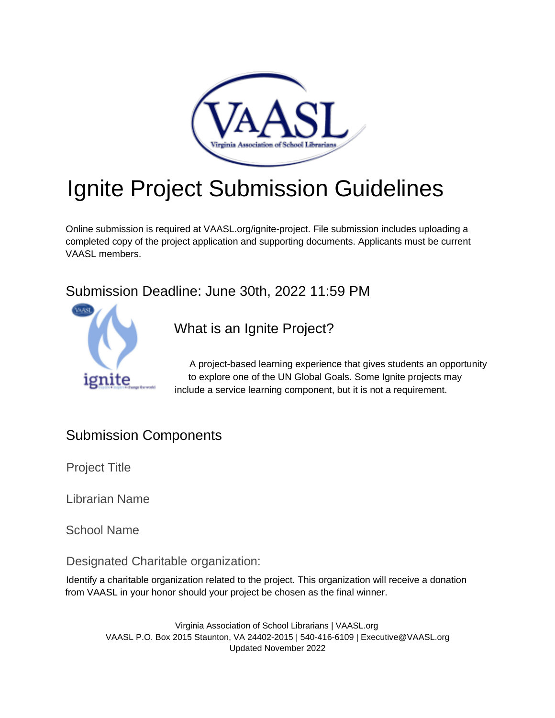

# Ignite Project Submission Guidelines

Online submission is required at VAASL.org/ignite-project. File submission includes uploading a completed copy of the project application and supporting documents. Applicants must be current VAASL members.

Submission Deadline: June 30th, 2022 11:59 PM



What is an Ignite Project?

A project-based learning experience that gives students an opportunity to explore one of the UN Global Goals. Some Ignite projects may include a service learning component, but it is not a requirement.

## Submission Components

Project Title

Librarian Name

School Name

Designated Charitable organization:

Identify a charitable organization related to the project. This organization will receive a donation from VAASL in your honor should your project be chosen as the final winner.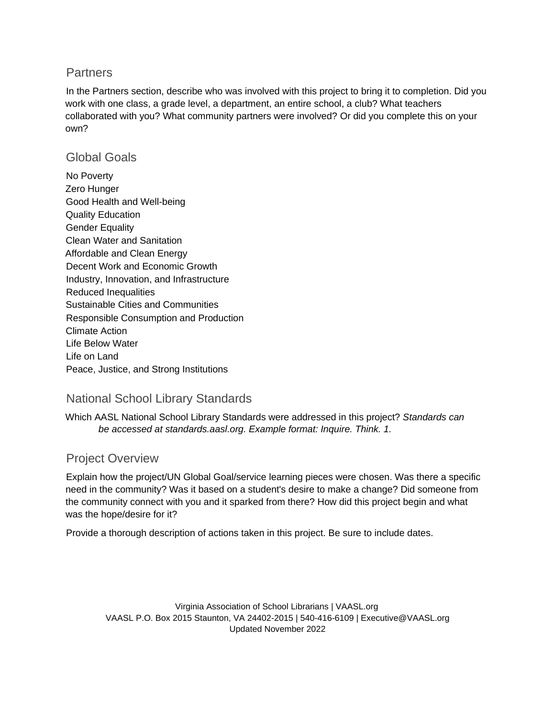#### **Partners**

In the Partners section, describe who was involved with this project to bring it to completion. Did you work with one class, a grade level, a department, an entire school, a club? What teachers collaborated with you? What community partners were involved? Or did you complete this on your own?

#### Global Goals

No Poverty Zero Hunger Good Health and Well-being Quality Education Gender Equality Clean Water and Sanitation Affordable and Clean Energy Decent Work and Economic Growth Industry, Innovation, and Infrastructure Reduced Inequalities Sustainable Cities and Communities Responsible Consumption and Production Climate Action Life Below Water Life on Land Peace, Justice, and Strong Institutions

#### National School Library Standards

Which AASL National School Library Standards were addressed in this project? *Standards can be accessed at standards.aasl.org. Example format: Inquire. Think. 1.* 

#### Project Overview

Explain how the project/UN Global Goal/service learning pieces were chosen. Was there a specific need in the community? Was it based on a student's desire to make a change? Did someone from the community connect with you and it sparked from there? How did this project begin and what was the hope/desire for it?

Provide a thorough description of actions taken in this project. Be sure to include dates.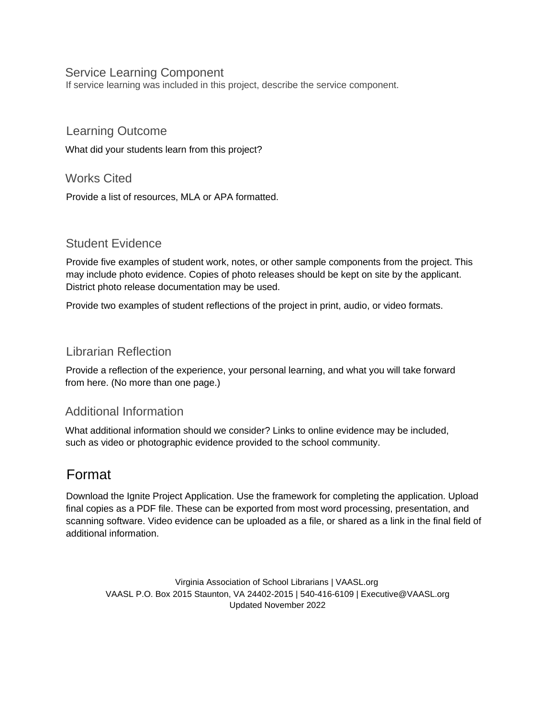#### Service Learning Component

If service learning was included in this project, describe the service component.

#### Learning Outcome

What did your students learn from this project?

#### Works Cited

Provide a list of resources, MLA or APA formatted.

#### Student Evidence

Provide five examples of student work, notes, or other sample components from the project. This may include photo evidence. Copies of photo releases should be kept on site by the applicant. District photo release documentation may be used.

Provide two examples of student reflections of the project in print, audio, or video formats.

#### Librarian Reflection

Provide a reflection of the experience, your personal learning, and what you will take forward from here. (No more than one page.)

#### Additional Information

What additional information should we consider? Links to online evidence may be included, such as video or photographic evidence provided to the school community.

### Format

Download the Ignite Project Application. Use the framework for completing the application. Upload final copies as a PDF file. These can be exported from most word processing, presentation, and scanning software. Video evidence can be uploaded as a file, or shared as a link in the final field of additional information.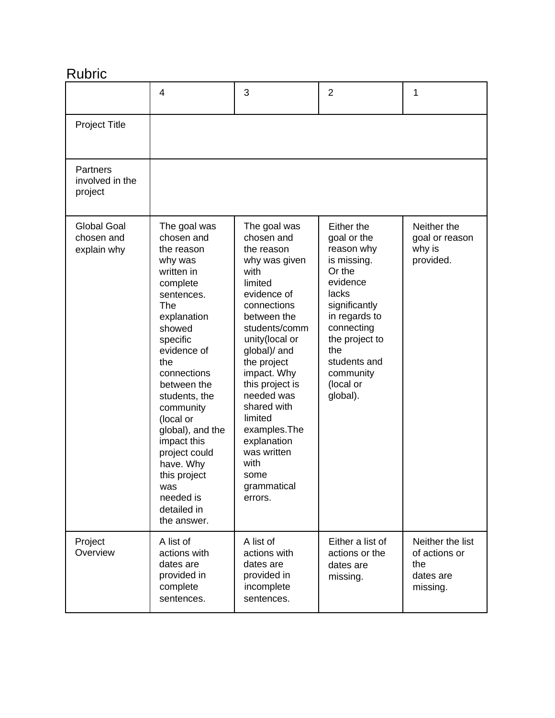# Rubric

|                                                 | 4                                                                                                                                                                                                                                                                                                                                                                         | 3                                                                                                                                                                                                                                                                                                                                                             | $\overline{2}$                                                                                                                                                                                                       | 1                                                                 |
|-------------------------------------------------|---------------------------------------------------------------------------------------------------------------------------------------------------------------------------------------------------------------------------------------------------------------------------------------------------------------------------------------------------------------------------|---------------------------------------------------------------------------------------------------------------------------------------------------------------------------------------------------------------------------------------------------------------------------------------------------------------------------------------------------------------|----------------------------------------------------------------------------------------------------------------------------------------------------------------------------------------------------------------------|-------------------------------------------------------------------|
| Project Title                                   |                                                                                                                                                                                                                                                                                                                                                                           |                                                                                                                                                                                                                                                                                                                                                               |                                                                                                                                                                                                                      |                                                                   |
| Partners<br>involved in the<br>project          |                                                                                                                                                                                                                                                                                                                                                                           |                                                                                                                                                                                                                                                                                                                                                               |                                                                                                                                                                                                                      |                                                                   |
| <b>Global Goal</b><br>chosen and<br>explain why | The goal was<br>chosen and<br>the reason<br>why was<br>written in<br>complete<br>sentences.<br>The<br>explanation<br>showed<br>specific<br>evidence of<br>the<br>connections<br>between the<br>students, the<br>community<br>(local or<br>global), and the<br>impact this<br>project could<br>have. Why<br>this project<br>was<br>needed is<br>detailed in<br>the answer. | The goal was<br>chosen and<br>the reason<br>why was given<br>with<br>limited<br>evidence of<br>connections<br>between the<br>students/comm<br>unity(local or<br>global)/ and<br>the project<br>impact. Why<br>this project is<br>needed was<br>shared with<br>limited<br>examples.The<br>explanation<br>was written<br>with<br>some<br>grammatical<br>errors. | Either the<br>goal or the<br>reason why<br>is missing.<br>Or the<br>evidence<br>lacks<br>significantly<br>in regards to<br>connecting<br>the project to<br>the<br>students and<br>community<br>(local or<br>global). | Neither the<br>goal or reason<br>why is<br>provided.              |
| Project<br>Overview                             | A list of<br>actions with<br>dates are<br>provided in<br>complete<br>sentences.                                                                                                                                                                                                                                                                                           | A list of<br>actions with<br>dates are<br>provided in<br>incomplete<br>sentences.                                                                                                                                                                                                                                                                             | Either a list of<br>actions or the<br>dates are<br>missing.                                                                                                                                                          | Neither the list<br>of actions or<br>the<br>dates are<br>missing. |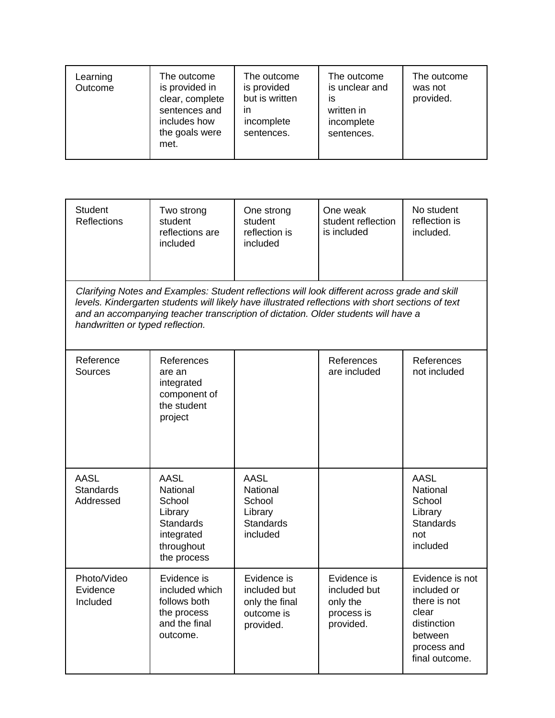| Learning<br>Outcome | The outcome<br>is provided in<br>clear, complete<br>sentences and<br>includes how<br>the goals were<br>met. | The outcome<br>is provided<br>but is written<br>ın<br>incomplete<br>sentences. | The outcome<br>is unclear and<br>İS<br>written in<br>incomplete<br>sentences. | The outcome<br>was not<br>provided. |
|---------------------|-------------------------------------------------------------------------------------------------------------|--------------------------------------------------------------------------------|-------------------------------------------------------------------------------|-------------------------------------|
|---------------------|-------------------------------------------------------------------------------------------------------------|--------------------------------------------------------------------------------|-------------------------------------------------------------------------------|-------------------------------------|

| <b>Student</b><br><b>Reflections</b>                                                                                                                                                                                                                                                                                          | Two strong<br>student<br>reflections are<br>included                                                        | One strong<br>student<br>reflection is<br>included                           | One weak<br>student reflection<br>is included                      | No student<br>reflection is<br>included.                                                                           |  |
|-------------------------------------------------------------------------------------------------------------------------------------------------------------------------------------------------------------------------------------------------------------------------------------------------------------------------------|-------------------------------------------------------------------------------------------------------------|------------------------------------------------------------------------------|--------------------------------------------------------------------|--------------------------------------------------------------------------------------------------------------------|--|
| Clarifying Notes and Examples: Student reflections will look different across grade and skill<br>levels. Kindergarten students will likely have illustrated reflections with short sections of text<br>and an accompanying teacher transcription of dictation. Older students will have a<br>handwritten or typed reflection. |                                                                                                             |                                                                              |                                                                    |                                                                                                                    |  |
| Reference<br>Sources                                                                                                                                                                                                                                                                                                          | References<br>are an<br>integrated<br>component of<br>the student<br>project                                |                                                                              | References<br>are included                                         | References<br>not included                                                                                         |  |
| <b>AASL</b><br><b>Standards</b><br>Addressed                                                                                                                                                                                                                                                                                  | <b>AASL</b><br>National<br>School<br>Library<br><b>Standards</b><br>integrated<br>throughout<br>the process | <b>AASL</b><br>National<br>School<br>Library<br><b>Standards</b><br>included |                                                                    | <b>AASL</b><br>National<br>School<br>Library<br><b>Standards</b><br>not<br>included                                |  |
| Photo/Video<br>Evidence<br>Included                                                                                                                                                                                                                                                                                           | Evidence is<br>included which<br>follows both<br>the process<br>and the final<br>outcome.                   | Evidence is<br>included but<br>only the final<br>outcome is<br>provided.     | Evidence is<br>included but<br>only the<br>process is<br>provided. | Evidence is not<br>included or<br>there is not<br>clear<br>distinction<br>between<br>process and<br>final outcome. |  |